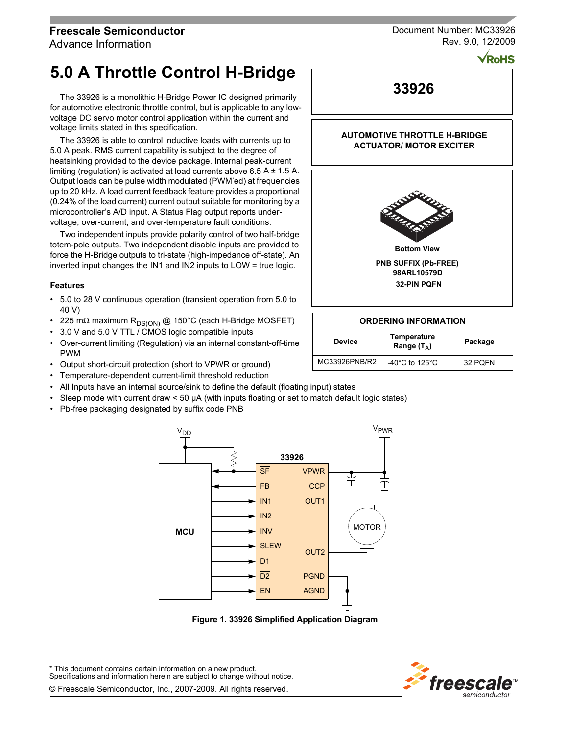## **Freescale Semiconductor**

Advance Information

# **5.0 A Throttle Control H-Bridge**

The 33926 is a monolithic H-Bridge Power IC designed primarily for automotive electronic throttle control, but is applicable to any lowvoltage DC servo motor control application within the current and voltage limits stated in this specification.

The 33926 is able to control inductive loads with currents up to 5.0 A peak. RMS current capability is subject to the degree of heatsinking provided to the device package. Internal peak-current limiting (regulation) is activated at load currents above  $6.5 A \pm 1.5 A$ . Output loads can be pulse width modulated (PWM'ed) at frequencies up to 20 kHz. A load current feedback feature provides a proportional (0.24% of the load current) current output suitable for monitoring by a microcontroller's A/D input. A Status Flag output reports undervoltage, over-current, and over-temperature fault conditions.

Two independent inputs provide polarity control of two half-bridge totem-pole outputs. Two independent disable inputs are provided to force the H-Bridge outputs to tri-state (high-impedance off-state). An inverted input changes the IN1 and IN2 inputs to LOW = true logic.

#### **Features**

- 5.0 to 28 V continuous operation (transient operation from 5.0 to 40 V)
- 225 mΩ maximum R<sub>DS(ON)</sub> @ 150°C (each H-Bridge MOSFET)
- 3.0 V and 5.0 V TTL / CMOS logic compatible inputs
- Over-current limiting (Regulation) via an internal constant-off-time PWM
- Output short-circuit protection (short to VPWR or ground)
- Temperature-dependent current-limit threshold reduction
- All Inputs have an internal source/sink to define the default (floating input) states
- Sleep mode with current draw < 50 µA (with inputs floating or set to match default logic states)
- Pb-free packaging designated by suffix code PNB



 **Figure 1. 33926 Simplified Application Diagram**

\* This document contains certain information on a new product. Specifications and information herein are subject to change without notice. © Freescale Semiconductor, Inc., 2007-2009. All rights reserved.



Document Number: MC33926 Rev. 9.0, 12/2009

 $\sqrt{\textsf{RoHS}}$ 

**33926**

#### **AUTOMOTIVE THROTTLE H-BRIDGE ACTUATOR/ MOTOR EXCITER**



**32-PIN PQFN 98ARL10579D**

#### **ORDERING INFORMATION**

| Temperature<br><b>Device</b><br>Range $(T_A)$ |                                      | Package |
|-----------------------------------------------|--------------------------------------|---------|
| MC33926PNB/R21                                | -40 $^{\circ}$ C to 125 $^{\circ}$ C | 32 POFN |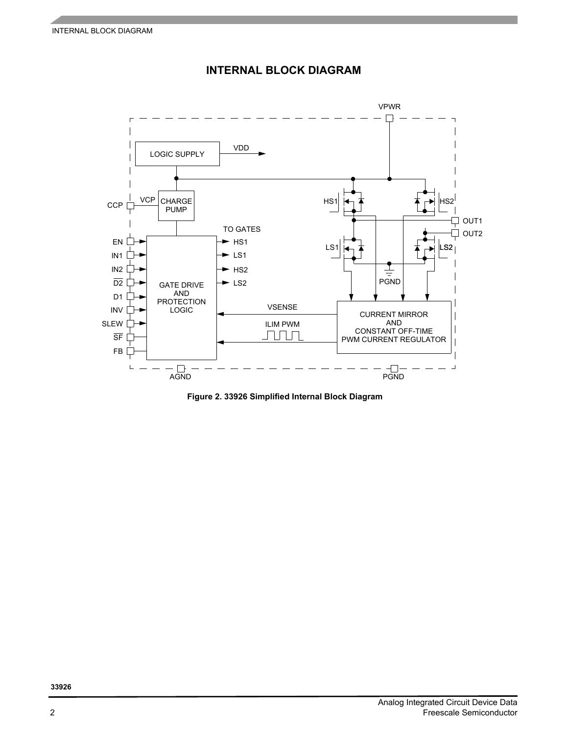

## **INTERNAL BLOCK DIAGRAM**

 **Figure 2. 33926 Simplified Internal Block Diagram**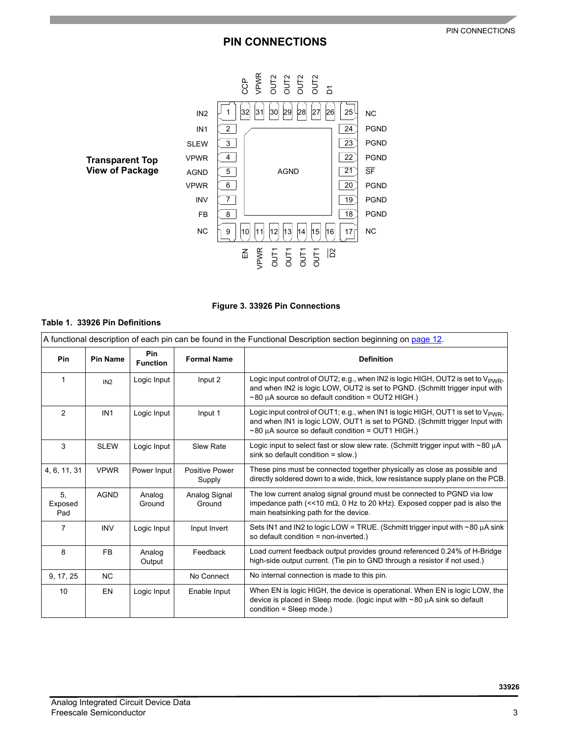# **PIN CONNECTIONS**





## **Table 1. 33926 Pin Definitions**

|                      | A functional description of each pin can be found in the Functional Description section beginning on page 12. |                        |                                 |                                                                                                                                                                                                                                       |  |  |  |
|----------------------|---------------------------------------------------------------------------------------------------------------|------------------------|---------------------------------|---------------------------------------------------------------------------------------------------------------------------------------------------------------------------------------------------------------------------------------|--|--|--|
| Pin                  | <b>Pin Name</b>                                                                                               | Pin<br><b>Function</b> | <b>Formal Name</b>              | <b>Definition</b>                                                                                                                                                                                                                     |  |  |  |
| $\mathbf 1$          | IN2                                                                                                           | Logic Input            | Input 2                         | Logic input control of OUT2; e.g., when IN2 is logic HIGH, OUT2 is set to $V_{\text{PWR}}$ ,<br>and when IN2 is logic LOW, OUT2 is set to PGND. (Schmitt trigger input with<br>$\sim$ 80 µA source so default condition = OUT2 HIGH.) |  |  |  |
| $\mathcal{P}$        | IN <sub>1</sub>                                                                                               | Logic Input            | Input 1                         | Logic input control of OUT1; e.g., when IN1 is logic HIGH, OUT1 is set to $V_{\text{PWR}}$ ,<br>and when IN1 is logic LOW, OUT1 is set to PGND. (Schmitt trigger Input with<br>$\sim$ 80 µA source so default condition = OUT1 HIGH.) |  |  |  |
| 3                    | <b>SLEW</b>                                                                                                   | Logic Input            | <b>Slew Rate</b>                | Logic input to select fast or slow slew rate. (Schmitt trigger input with $\sim$ 80 $\mu$ A<br>sink so default condition = slow.)                                                                                                     |  |  |  |
| 4, 6, 11, 31         | <b>VPWR</b>                                                                                                   | Power Input            | <b>Positive Power</b><br>Supply | These pins must be connected together physically as close as possible and<br>directly soldered down to a wide, thick, low resistance supply plane on the PCB.                                                                         |  |  |  |
| 5.<br>Exposed<br>Pad | <b>AGND</b>                                                                                                   | Analog<br>Ground       | Analog Signal<br>Ground         | The low current analog signal ground must be connected to PGND via low<br>impedance path (<<10 m $\Omega$ , 0 Hz to 20 kHz). Exposed copper pad is also the<br>main heatsinking path for the device.                                  |  |  |  |
| 7                    | <b>INV</b>                                                                                                    | Logic Input            | Input Invert                    | Sets IN1 and IN2 to logic LOW = TRUE. (Schmitt trigger input with $\sim$ 80 $\mu$ A sink<br>so default condition = non-inverted.)                                                                                                     |  |  |  |
| 8                    | <b>FB</b>                                                                                                     | Analog<br>Output       | Feedback                        | Load current feedback output provides ground referenced 0.24% of H-Bridge<br>high-side output current. (Tie pin to GND through a resistor if not used.)                                                                               |  |  |  |
| 9, 17, 25            | <b>NC</b>                                                                                                     |                        | No Connect                      | No internal connection is made to this pin.                                                                                                                                                                                           |  |  |  |
| 10                   | <b>EN</b>                                                                                                     | Logic Input            | Enable Input                    | When EN is logic HIGH, the device is operational. When EN is logic LOW, the<br>device is placed in Sleep mode. (logic input with ~80 µA sink so default<br>condition = Sleep mode.)                                                   |  |  |  |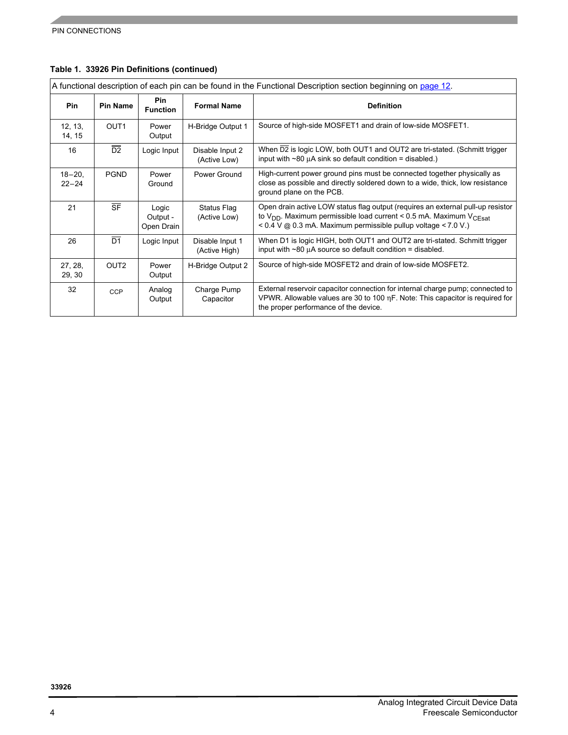|                          | A functional description of each pin can be found in the Functional Description section beginning on page 12. |                                 |                                  |                                                                                                                                                                                                                                   |  |  |  |
|--------------------------|---------------------------------------------------------------------------------------------------------------|---------------------------------|----------------------------------|-----------------------------------------------------------------------------------------------------------------------------------------------------------------------------------------------------------------------------------|--|--|--|
| Pin                      | <b>Pin Name</b>                                                                                               | Pin<br><b>Function</b>          | <b>Formal Name</b>               | <b>Definition</b>                                                                                                                                                                                                                 |  |  |  |
| 12, 13,<br>14, 15        | OUT <sub>1</sub>                                                                                              | Power<br>Output                 | H-Bridge Output 1                | Source of high-side MOSFET1 and drain of low-side MOSFET1.                                                                                                                                                                        |  |  |  |
| 16                       | $\overline{D2}$                                                                                               | Logic Input                     | Disable Input 2<br>(Active Low)  | When D2 is logic LOW, both OUT1 and OUT2 are tri-stated. (Schmitt trigger<br>input with $\sim$ 80 $\mu$ A sink so default condition = disabled.)                                                                                  |  |  |  |
| $18 - 20$ ,<br>$22 - 24$ | <b>PGND</b>                                                                                                   | Power<br>Ground                 | Power Ground                     | High-current power ground pins must be connected together physically as<br>close as possible and directly soldered down to a wide, thick, low resistance<br>ground plane on the PCB.                                              |  |  |  |
| 21                       | $\overline{\text{SF}}$                                                                                        | Logic<br>Output -<br>Open Drain | Status Flag<br>(Active Low)      | Open drain active LOW status flag output (requires an external pull-up resistor<br>to $V_{DD}$ . Maximum permissible load current < 0.5 mA. Maximum $V_{CEsat}$<br>< 0.4 V @ 0.3 mA. Maximum permissible pullup voltage < 7.0 V.) |  |  |  |
| 26                       | $\overline{D1}$                                                                                               | Logic Input                     | Disable Input 1<br>(Active High) | When D1 is logic HIGH, both OUT1 and OUT2 are tri-stated. Schmitt trigger<br>input with $\sim$ 80 $\mu$ A source so default condition = disabled.                                                                                 |  |  |  |
| 27, 28,<br>29, 30        | OUT <sub>2</sub>                                                                                              | Power<br>Output                 | H-Bridge Output 2                | Source of high-side MOSFET2 and drain of low-side MOSFET2.                                                                                                                                                                        |  |  |  |
| 32                       | <b>CCP</b>                                                                                                    | Analog<br>Output                | Charge Pump<br>Capacitor         | External reservoir capacitor connection for internal charge pump; connected to<br>VPWR. Allowable values are 30 to 100 $\eta$ F. Note: This capacitor is required for<br>the proper performance of the device.                    |  |  |  |

## **Table 1. 33926 Pin Definitions (continued)**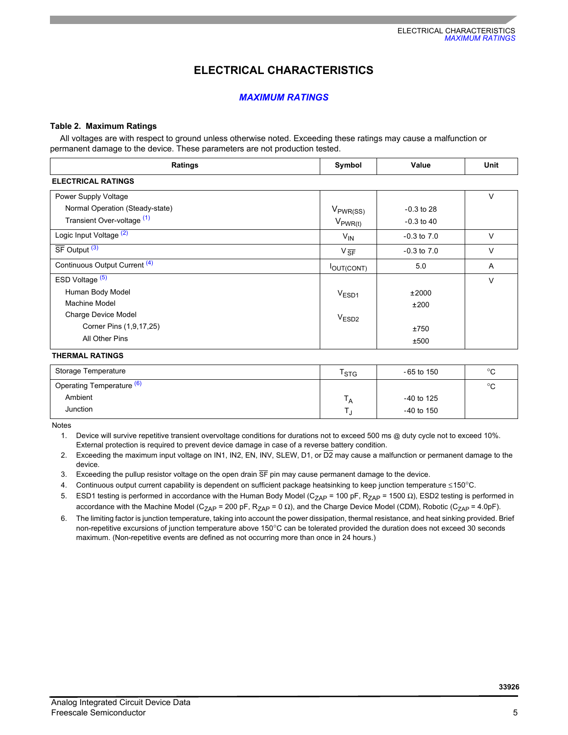# **ELECTRICAL CHARACTERISTICS**

#### *MAXIMUM RATINGS*

#### **Table 2. Maximum Ratings**

All voltages are with respect to ground unless otherwise noted. Exceeding these ratings may cause a malfunction or permanent damage to the device. These parameters are not production tested.

| Ratings                            | Symbol              | Value           | <b>Unit</b> |
|------------------------------------|---------------------|-----------------|-------------|
| <b>ELECTRICAL RATINGS</b>          |                     |                 |             |
| Power Supply Voltage               |                     |                 | $\vee$      |
| Normal Operation (Steady-state)    | $V_{PWR(SS)}$       | $-0.3$ to 28    |             |
| Transient Over-voltage (1)         | $V_{PWR(t)}$        | $-0.3$ to 40    |             |
| Logic Input Voltage <sup>(2)</sup> | $V_{\text{IN}}$     | $-0.3$ to $7.0$ | V           |
| $SF$ Output $(3)$                  | $V_{\overline{SF}}$ | $-0.3$ to $7.0$ | $\vee$      |
| Continuous Output Current (4)      | <b>IOUT(CONT)</b>   | 5.0             | A           |
| ESD Voltage <sup>(5)</sup>         |                     |                 | $\vee$      |
| Human Body Model                   | $V_{ESD1}$          | ±2000           |             |
| Machine Model                      |                     | ±200            |             |
| Charge Device Model                | V <sub>ESD2</sub>   |                 |             |
| Corner Pins (1,9,17,25)            |                     | ±750            |             |
| All Other Pins                     |                     | ±500            |             |

#### **THERMAL RATINGS**

| Storage Temperature       | $\mathsf{r}_{\texttt{STG}}$ | - 65 to 150  | $\circ$ |
|---------------------------|-----------------------------|--------------|---------|
| Operating Temperature (b) |                             |              | $\circ$ |
| Ambient                   | Ά                           | $-40$ to 125 |         |
| Junction                  |                             | $-40$ to 150 |         |

<span id="page-4-0"></span>Notes

1. Device will survive repetitive transient overvoltage conditions for durations not to exceed 500 ms @ duty cycle not to exceed 10%. External protection is required to prevent device damage in case of a reverse battery condition.

- <span id="page-4-1"></span>2. Exceeding the maximum input voltage on IN1, IN2, EN, INV, SLEW, D1, or  $\overline{D2}$  may cause a malfunction or permanent damage to the device.
- <span id="page-4-2"></span>3. Exceeding the pullup resistor voltage on the open drain SF pin may cause permanent damage to the device.
- <span id="page-4-3"></span>4. Continuous output current capability is dependent on sufficient package heatsinking to keep junction temperature ≤150°C.
- <span id="page-4-4"></span>5. ESD1 testing is performed in accordance with the Human Body Model (C<sub>ZAP</sub> = 100 pF, R<sub>ZAP</sub> = 1500 Ω), ESD2 testing is performed in accordance with the Machine Model (C<sub>ZAP</sub> = 200 pF, R<sub>ZAP</sub> = 0  $\Omega$ ), and the Charge Device Model (CDM), Robotic (C<sub>ZAP</sub> = 4.0pF).
- <span id="page-4-5"></span>6. The limiting factor is junction temperature, taking into account the power dissipation, thermal resistance, and heat sinking provided. Brief non-repetitive excursions of junction temperature above 150°C can be tolerated provided the duration does not exceed 30 seconds maximum. (Non-repetitive events are defined as not occurring more than once in 24 hours.)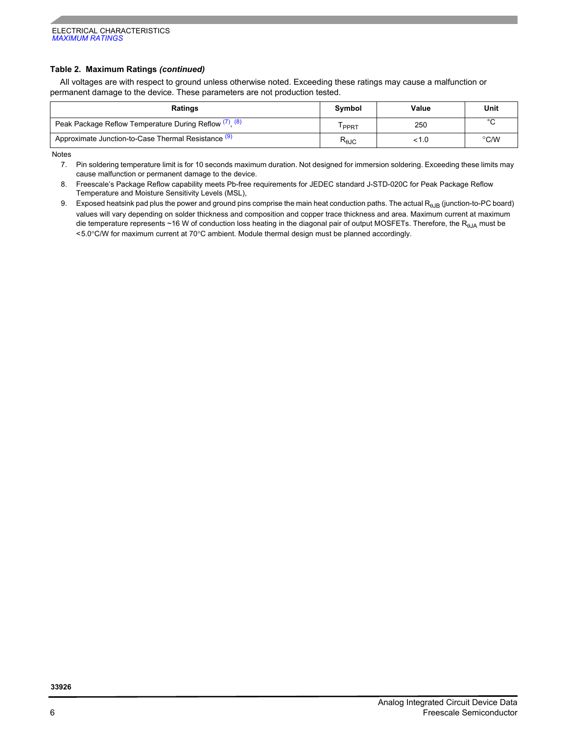#### **Table 2. Maximum Ratings** *(continued)*

All voltages are with respect to ground unless otherwise noted. Exceeding these ratings may cause a malfunction or permanent damage to the device. These parameters are not production tested.

| <b>Ratings</b>                                            | Symbol                 | Value | Unit          |
|-----------------------------------------------------------|------------------------|-------|---------------|
| Peak Package Reflow Temperature During Reflow $(7)$ $(8)$ | PPRT                   | 250   | $\sim$        |
| Approximate Junction-to-Case Thermal Resistance (9)       | $R_{\theta \text{JC}}$ |       | $\degree$ C/W |

<span id="page-5-1"></span>Notes

<span id="page-5-2"></span>8. Freescale's Package Reflow capability meets Pb-free requirements for JEDEC standard J-STD-020C for Peak Package Reflow Temperature and Moisture Sensitivity Levels (MSL),

<span id="page-5-0"></span>9. Exposed heatsink pad plus the power and ground pins comprise the main heat conduction paths. The actual R<sub>0JB</sub> (junction-to-PC board) values will vary depending on solder thickness and composition and copper trace thickness and area. Maximum current at maximum die temperature represents ~16 W of conduction loss heating in the diagonal pair of output MOSFETs. Therefore, the R<sub>0JA</sub> must be <5.0°C/W for maximum current at 70°C ambient. Module thermal design must be planned accordingly.

<sup>7.</sup> Pin soldering temperature limit is for 10 seconds maximum duration. Not designed for immersion soldering. Exceeding these limits may cause malfunction or permanent damage to the device.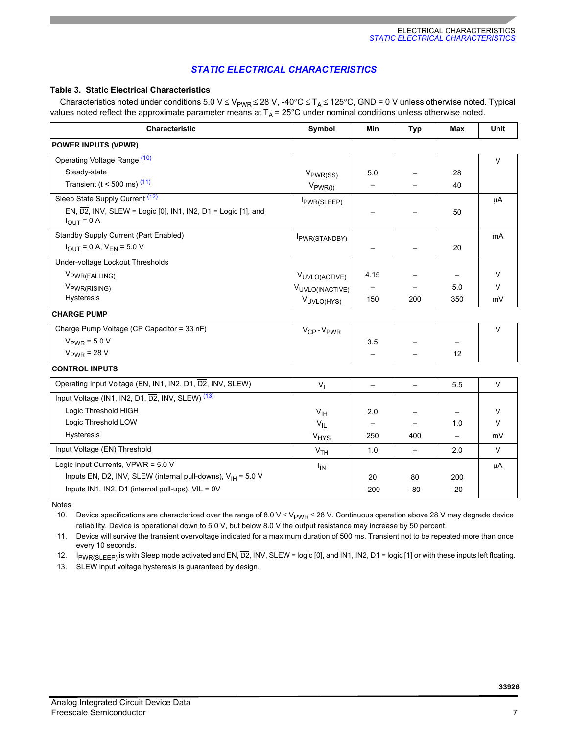### *STATIC ELECTRICAL CHARACTERISTICS*

#### <span id="page-6-4"></span>**Table 3. Static Electrical Characteristics**

Characteristics noted under conditions 5.0 V  $\leq$  V<sub>PWR</sub>  $\leq$  28 V, -40°C  $\leq$  T<sub>A</sub>  $\leq$  125°C, GND = 0 V unless otherwise noted. Typical values noted reflect the approximate parameter means at  $T_A = 25^{\circ}$ C under nominal conditions unless otherwise noted.

| <b>Characteristic</b>                                                                | Symbol                            | Min                      | <b>Typ</b>               | Max   | Unit    |
|--------------------------------------------------------------------------------------|-----------------------------------|--------------------------|--------------------------|-------|---------|
| <b>POWER INPUTS (VPWR)</b>                                                           |                                   |                          |                          |       |         |
| Operating Voltage Range (10)                                                         |                                   |                          |                          |       | $\vee$  |
| Steady-state                                                                         | $V_{PWR(SS)}$                     | 5.0                      |                          | 28    |         |
| Transient ( $t < 500$ ms) $(11)$                                                     | $V_{PWR(t)}$                      |                          |                          | 40    |         |
| Sleep State Supply Current (12)                                                      | PWR(SLEEP)                        |                          |                          |       | $\mu$ A |
| EN, $\overline{D2}$ , INV, SLEW = Logic [0], IN1, IN2, D1 = Logic [1], and           |                                   |                          |                          | 50    |         |
| $I_{OUT} = 0 A$                                                                      |                                   |                          |                          |       |         |
| Standby Supply Current (Part Enabled)                                                | PWR(STANDBY)                      |                          |                          |       | mA      |
| $I_{\text{OUT}} = 0$ A, $V_{\text{EN}} = 5.0$ V                                      |                                   |                          |                          | 20    |         |
| Under-voltage Lockout Thresholds                                                     |                                   |                          |                          |       |         |
| V <sub>PWR(FALLING)</sub>                                                            | VUVLO(ACTIVE)                     | 4.15                     |                          |       | V       |
| V <sub>PWR(RISING)</sub>                                                             | VUVLO(INACTIVE)                   |                          |                          | 5.0   | $\vee$  |
| Hysteresis                                                                           | VUVLO(HYS)                        | 150                      | 200                      | 350   | mV      |
| <b>CHARGE PUMP</b>                                                                   |                                   |                          |                          |       |         |
| Charge Pump Voltage (CP Capacitor = 33 nF)                                           | V <sub>CP</sub> -V <sub>PWR</sub> |                          |                          |       | $\vee$  |
| $V_{PWR}$ = 5.0 V                                                                    |                                   | 3.5                      |                          |       |         |
| $V_{PWR}$ = 28 V                                                                     |                                   |                          |                          | 12    |         |
| <b>CONTROL INPUTS</b>                                                                |                                   |                          |                          |       |         |
| Operating Input Voltage (EN, IN1, IN2, D1, D2, INV, SLEW)                            | V <sub>1</sub>                    | $\qquad \qquad -$        | $\overline{\phantom{0}}$ | 5.5   | $\vee$  |
| Input Voltage (IN1, IN2, D1, D2, INV, SLEW) <sup>(13)</sup>                          |                                   |                          |                          |       |         |
| Logic Threshold HIGH                                                                 | V <sub>IH</sub>                   | 2.0                      |                          |       | $\vee$  |
| Logic Threshold LOW                                                                  | $V_{IL}$                          | $\overline{\phantom{m}}$ |                          | 1.0   | V       |
| Hysteresis                                                                           | <b>V<sub>HYS</sub></b>            | 250                      | 400                      |       | mV      |
| Input Voltage (EN) Threshold                                                         | V <sub>TH</sub>                   | 1.0                      | $\overline{\phantom{0}}$ | 2.0   | $\vee$  |
| Logic Input Currents, VPWR = 5.0 V                                                   | $I_{IN}$                          |                          |                          |       | μA      |
| Inputs EN, $\overline{D2}$ , INV, SLEW (internal pull-downs), $V_{\text{H}}$ = 5.0 V |                                   | 20                       | 80                       | 200   |         |
| Inputs IN1, IN2, D1 (internal pull-ups), VIL = 0V                                    |                                   | $-200$                   | -80                      | $-20$ |         |

Notes

<span id="page-6-0"></span>10. Device specifications are characterized over the range of 8.0 V  $\leq$  V<sub>PWR</sub>  $\leq$  28 V. Continuous operation above 28 V may degrade device reliability. Device is operational down to 5.0 V, but below 8.0 V the output resistance may increase by 50 percent.

<span id="page-6-1"></span>11. Device will survive the transient overvoltage indicated for a maximum duration of 500 ms. Transient not to be repeated more than once every 10 seconds.

<span id="page-6-2"></span>12. IpwR(SLEEP) is with Sleep mode activated and EN,  $\overline{D2}$ , INV, SLEW = logic [0], and IN1, IN2, D1 = logic [1] or with these inputs left floating.

<span id="page-6-3"></span>13. SLEW input voltage hysteresis is guaranteed by design.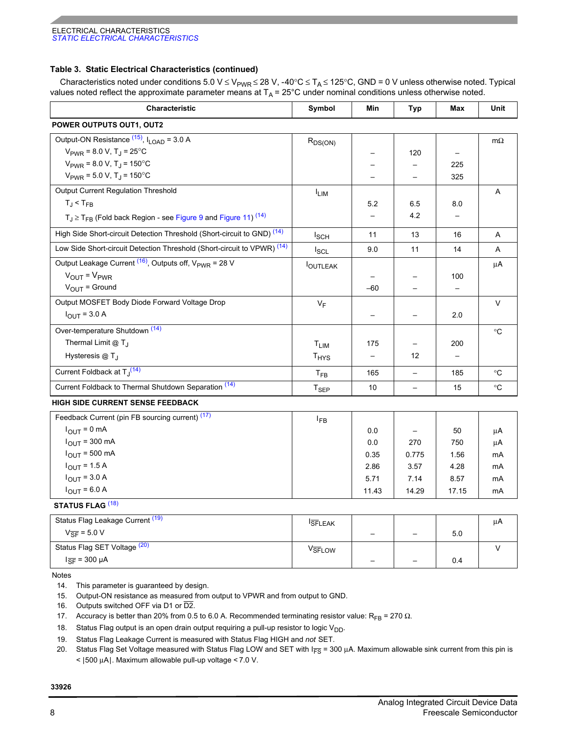#### **Table 3. Static Electrical Characteristics (continued)**

Characteristics noted under conditions 5.0 V ≤ V<sub>PWR</sub> ≤ 28 V, -40°C ≤ T<sub>A</sub> ≤ 125°C, GND = 0 V unless otherwise noted. Typical values noted reflect the approximate parameter means at T<sub>A</sub> = 25°C under nominal conditions unless otherwise noted.

| <b>Characteristic</b>                                                    | Symbol           | Min           | Typ                      | <b>Max</b> | <b>Unit</b>     |
|--------------------------------------------------------------------------|------------------|---------------|--------------------------|------------|-----------------|
| <b>POWER OUTPUTS OUT1, OUT2</b>                                          |                  |               |                          |            |                 |
| Output-ON Resistance $(15)$ , $I_{\text{LOAD}}$ = 3.0 A                  | $R_{DS(ON)}$     |               |                          |            | $m\Omega$       |
| $V_{PWR}$ = 8.0 V, T <sub>J</sub> = 25 <sup>°</sup> C                    |                  |               | 120                      |            |                 |
| $V_{PWR}$ = 8.0 V, T <sub>1</sub> = 150 <sup>°</sup> C                   |                  |               |                          | 225        |                 |
| $V_{PWR}$ = 5.0 V, T <sub>J</sub> = 150 <sup>°</sup> C                   |                  |               |                          | 325        |                 |
| Output Current Regulation Threshold                                      | <sup>I</sup> LIM |               |                          |            | Α               |
| $T_J < T_{FB}$                                                           |                  | 5.2           | 6.5                      | 8.0        |                 |
| $T_J \geq T_{FB}$ (Fold back Region - see Figure 9 and Figure 11) $(14)$ |                  |               | 4.2                      |            |                 |
| High Side Short-circuit Detection Threshold (Short-circuit to GND) (14)  | $I_{\text{SCH}}$ | 11            | 13                       | 16         | A               |
| Low Side Short-circuit Detection Threshold (Short-circuit to VPWR) (14)  | $I_{SCL}$        | 9.0           | 11                       | 14         | A               |
| Output Leakage Current $(16)$ , Outputs off, $V_{\text{PWR}}$ = 28 V     | <b>OUTLEAK</b>   |               |                          |            | $\mu A$         |
| $V_{\text{OUT}} = V_{\text{PWR}}$                                        |                  |               |                          | 100        |                 |
| $V_{\text{OUT}}$ = Ground                                                |                  | $-60$         |                          |            |                 |
| Output MOSFET Body Diode Forward Voltage Drop                            | $V_F$            |               |                          |            | $\vee$          |
| $I_{\text{OUT}}$ = 3.0 A                                                 |                  |               |                          | 2.0        |                 |
| Over-temperature Shutdown <sup>(14)</sup>                                |                  |               |                          |            | $^{\circ}C$     |
| Thermal Limit @ T <sub>J</sub>                                           | $T_{LIM}$        | 175           |                          | 200        |                 |
| Hysteresis $@T_1$                                                        | $T_{HYS}$        |               | 12                       |            |                 |
| Current Foldback at T <sub>J</sub> <sup>(14)</sup>                       | $T_{FB}$         | 165           |                          | 185        | $^{\circ}C$     |
| Current Foldback to Thermal Shutdown Separation (14)                     | $T_{\sf SEP}$    | 10            | $\overline{\phantom{0}}$ | 15         | $\rm ^{\circ}C$ |
| HIGH SIDE CURRENT SENSE FEEDBACK                                         |                  |               |                          |            |                 |
| Feedback Current (pin FB sourcing current) (17)                          | $I_{FB}$         |               |                          |            |                 |
| $1 - \Omega m \Lambda$                                                   |                  | $\sim$ $\sim$ |                          | $-\sim$    |                 |

|                           | <b>.</b> . |       |       |       |    |
|---------------------------|------------|-------|-------|-------|----|
| $I_{OUT} = 0$ mA          |            | 0.0   | -     | 50    | μA |
| $I_{\text{OUT}}$ = 300 mA |            | 0.0   | 270   | 750   | μA |
| $I_{\text{OUT}}$ = 500 mA |            | 0.35  | 0.775 | 1.56  | mA |
| $I_{\text{OUT}}$ = 1.5 A  |            | 2.86  | 3.57  | 4.28  | mA |
| $I_{OUT} = 3.0 A$         |            | 5.71  | 7.14  | 8.57  | mA |
| $I_{OUT} = 6.0 A$         |            | 11.43 | 14.29 | 17.15 | mA |
|                           |            |       |       |       |    |

 **STATUS FLAG** [\(18\)](#page-7-4)

| Status Flag Leakage Current (19) | <b>ISFLEAK</b>     |   |     | μA |
|----------------------------------|--------------------|---|-----|----|
| $V_{\overline{SF}}$ = 5.0 V      |                    | – | 5.0 |    |
| Status Flag SET Voltage (20)     | V <sub>SFLOW</sub> |   |     |    |
| $I_{\overline{SF}}$ = 300 µA     |                    | — | 0.4 |    |

Notes

<span id="page-7-1"></span>14. This parameter is guaranteed by design.

<span id="page-7-0"></span>15. Output-ON resistance as measured from output to VPWR and from output to GND.

<span id="page-7-2"></span>16. Outputs switched OFF via D1 or D2.

<span id="page-7-3"></span>17. Accuracy is better than 20% from 0.5 to 6.0 A. Recommended terminating resistor value: R<sub>FB</sub> = 270 Ω.

<span id="page-7-4"></span>18. Status Flag output is an open drain output requiring a pull-up resistor to logic  $V_{DD}$ .

<span id="page-7-5"></span>19. Status Flag Leakage Current is measured with Status Flag HIGH and *not* SET.

<span id="page-7-6"></span>20. Status Flag Set Voltage measured with Status Flag LOW and SET with I<sub>FS</sub> = 300 μA. Maximum allowable sink current from this pin is < |500 μA|. Maximum allowable pull-up voltage < 7.0 V.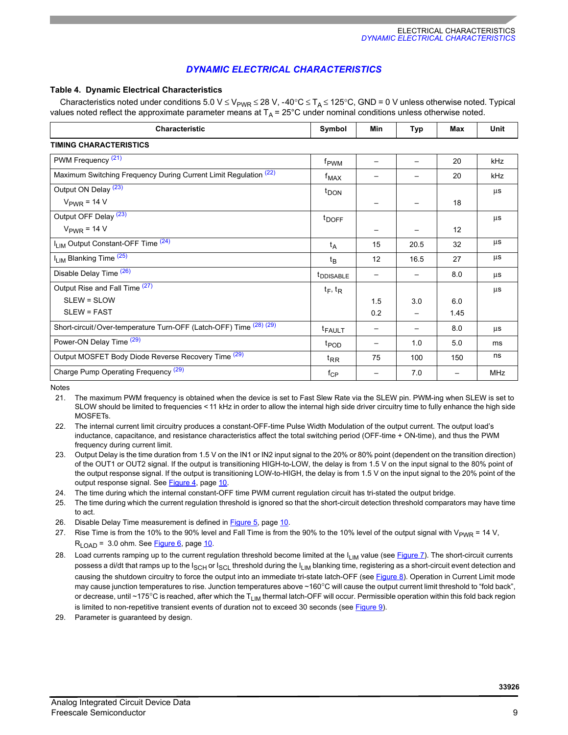### *DYNAMIC ELECTRICAL CHARACTERISTICS*

#### **Table 4. Dynamic Electrical Characteristics**

Characteristics noted under conditions 5.0 V ≤ V<sub>PWR</sub> ≤ 28 V, -40°C ≤ T<sub>A</sub> ≤ 125°C, GND = 0 V unless otherwise noted. Typical values noted reflect the approximate parameter means at  $T_A = 25^\circ$ C under nominal conditions unless otherwise noted.

| Characteristic                                                     | Symbol                | Min | Typ  | Max  | <b>Unit</b> |
|--------------------------------------------------------------------|-----------------------|-----|------|------|-------------|
| <b>TIMING CHARACTERISTICS</b>                                      |                       |     |      |      |             |
| PWM Frequency <sup>(21)</sup>                                      | f <sub>PWM</sub>      | —   |      | 20   | kHz         |
| Maximum Switching Frequency During Current Limit Regulation (22)   | $f_{MAX}$             |     |      | 20   | kHz         |
| Output ON Delay (23)                                               | $t_{\text{DOM}}$      |     |      |      | μs          |
| $V_{PWR}$ = 14 V                                                   |                       |     |      | 18   |             |
| Output OFF Delay (23)                                              | <sup>t</sup> DOFF     |     |      |      | μs          |
| $V_{\text{PWR}}$ = 14 V                                            |                       |     |      | 12   |             |
| I <sub>LIM</sub> Output Constant-OFF Time <sup>(24)</sup>          | t <sub>A</sub>        | 15  | 20.5 | 32   | μs          |
| I <sub>LIM</sub> Blanking Time <sup>(25)</sup>                     | $t_{\mathsf{B}}$      | 12  | 16.5 | 27   | μs          |
| Disable Delay Time (26)                                            | t <sub>DDISABLE</sub> |     |      | 8.0  | μs          |
| Output Rise and Fall Time (27)                                     | $t_F$ , $t_R$         |     |      |      | μs          |
| SLEW = SLOW                                                        |                       | 1.5 | 3.0  | 6.0  |             |
| <b>SLEW = FAST</b>                                                 |                       | 0.2 |      | 1.45 |             |
| Short-circuit/Over-temperature Turn-OFF (Latch-OFF) Time (28) (29) | <b>t</b> FAULT        |     |      | 8.0  | μs          |
| Power-ON Delay Time (29)                                           | t <sub>POD</sub>      |     | 1.0  | 5.0  | ms          |
| Output MOSFET Body Diode Reverse Recovery Time (29)                | $t_{RR}$              | 75  | 100  | 150  | ns          |
| Charge Pump Operating Frequency (29)                               | $f_{\rm CP}$          |     | 7.0  |      | <b>MHz</b>  |

Notes

<span id="page-8-0"></span>21. The maximum PWM frequency is obtained when the device is set to Fast Slew Rate via the SLEW pin. PWM-ing when SLEW is set to SLOW should be limited to frequencies < 11 kHz in order to allow the internal high side driver circuitry time to fully enhance the high side MOSFETs.

<span id="page-8-1"></span>22. The internal current limit circuitry produces a constant-OFF-time Pulse Width Modulation of the output current. The output load's inductance, capacitance, and resistance characteristics affect the total switching period (OFF-time + ON-time), and thus the PWM frequency during current limit.

<span id="page-8-7"></span>23. Output Delay is the time duration from 1.5 V on the IN1 or IN2 input signal to the 20% or 80% point (dependent on the transition direction) of the OUT1 or OUT2 signal. If the output is transitioning HIGH-to-LOW, the delay is from 1.5 V on the input signal to the 80% point of the output response signal. If the output is transitioning LOW-to-HIGH, the delay is from 1.5 V on the input signal to the 20% point of the output response signal. See [Figure](#page-9-0) 4, [page](#page-9-0) 10.

<span id="page-8-2"></span>24. The time during which the internal constant-OFF time PWM current regulation circuit has tri-stated the output bridge.

<span id="page-8-3"></span>25. The time during which the current regulation threshold is ignored so that the short-circuit detection threshold comparators may have time to act.

<span id="page-8-8"></span>26. Disable Delay Time measurement is defined in [Figure](#page-9-1) 5, [page](#page-9-1) 10.

<span id="page-8-4"></span>27. Rise Time is from the 10% to the 90% level and Fall Time is from the 90% to the 10% level of the output signal with  $V_{PWR} = 14 V$ ,  $R_{I\cap AD}$  = 3.0 ohm. See [Figure](#page-9-2) 6, [page](#page-9-2) 10.

- <span id="page-8-5"></span>28. Load currents ramping up to the current regulation threshold become limited at the I<sub>LIM</sub> value (see [Figure](#page-9-3) 7). The short-circuit currents possess a di/dt that ramps up to the I<sub>SCH</sub> or I<sub>SCL</sub> threshold during the I<sub>LIM</sub> blanking time, registering as a short-circuit event detection and causing the shutdown circuitry to force the output into an immediate tri-state latch-OFF (see [Figure](#page-10-1) 8). Operation in Current Limit mode may cause junction temperatures to rise. Junction temperatures above ~160°C will cause the output current limit threshold to "fold back", or decrease, until ~175°C is reached, after which the  $T_{LIM}$  thermal latch-OFF will occur. Permissible operation within this fold back region is limited to non-repetitive transient events of duration not to exceed 30 seconds (see [Figure](#page-10-0) 9).
- <span id="page-8-6"></span>29. Parameter is guaranteed by design.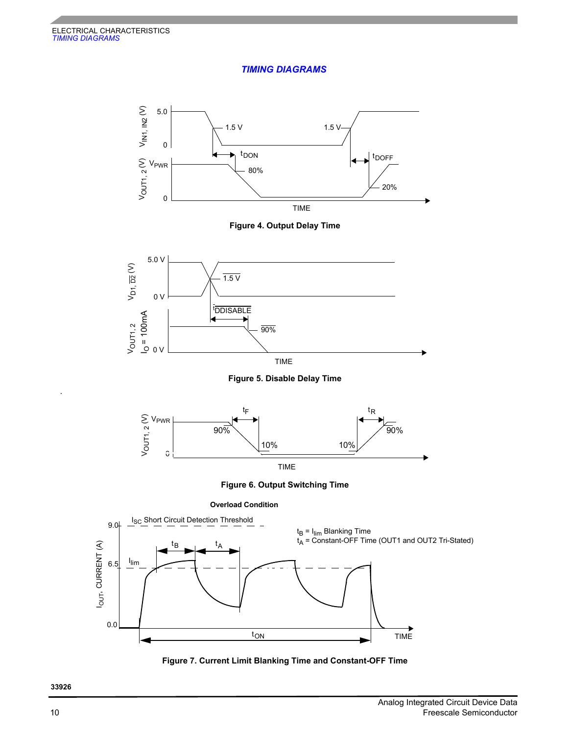### *TIMING DIAGRAMS*





<span id="page-9-0"></span>

 **Figure 5. Disable Delay Time**



TIME

 **Figure 6. Output Switching Time**

**Overload Condition**

<span id="page-9-2"></span>

<span id="page-9-3"></span>

<span id="page-9-1"></span>.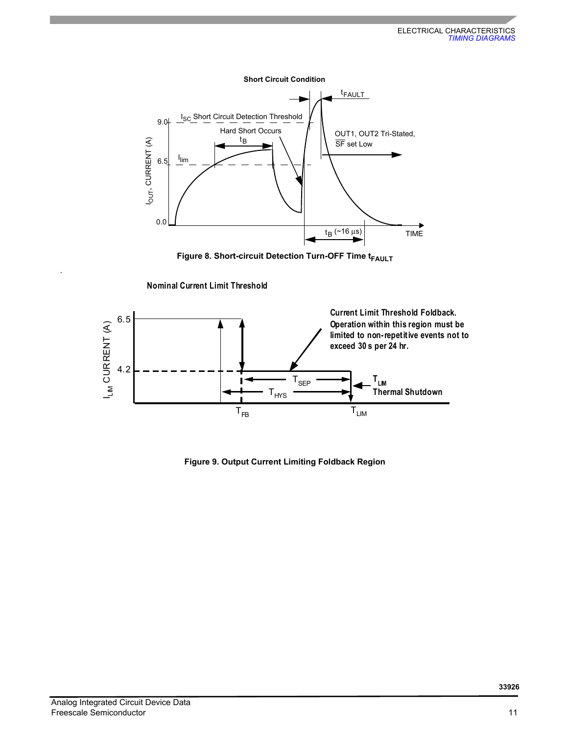

**Figure 8. Short-circuit Detection Turn-OFF Time t<sub>FAULT</sub>** 





<span id="page-10-0"></span> **Figure 9. Output Current Limiting Foldback Region**

<span id="page-10-1"></span>.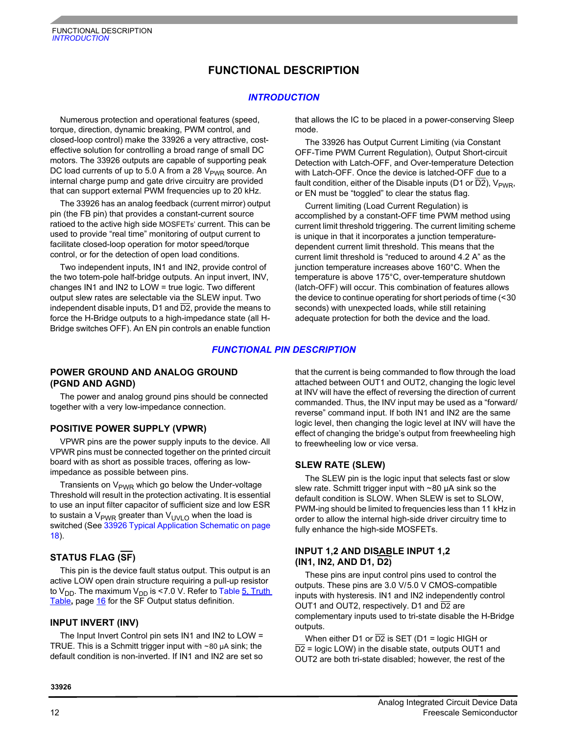## **FUNCTIONAL DESCRIPTION**

#### *INTRODUCTION*

<span id="page-11-0"></span>Numerous protection and operational features (speed, torque, direction, dynamic breaking, PWM control, and closed-loop control) make the 33926 a very attractive, costeffective solution for controlling a broad range of small DC motors. The 33926 outputs are capable of supporting peak DC load currents of up to 5.0 A from a 28  $V_{PWR}$  source. An internal charge pump and gate drive circuitry are provided that can support external PWM frequencies up to 20 kHz.

The 33926 has an analog feedback (current mirror) output pin (the FB pin) that provides a constant-current source ratioed to the active high side MOSFETs' current. This can be used to provide "real time" monitoring of output current to facilitate closed-loop operation for motor speed/torque control, or for the detection of open load conditions.

Two independent inputs, IN1 and IN2, provide control of the two totem-pole half-bridge outputs. An input invert, INV, changes IN1 and IN2 to LOW = true logic. Two different output slew rates are selectable via the SLEW input. Two independent disable inputs, D1 and  $\overline{D2}$ , provide the means to force the H-Bridge outputs to a high-impedance state (all H-Bridge switches OFF). An EN pin controls an enable function

that allows the IC to be placed in a power-conserving Sleep mode.

The 33926 has Output Current Limiting (via Constant OFF-Time PWM Current Regulation), Output Short-circuit Detection with Latch-OFF, and Over-temperature Detection with Latch-OFF. Once the device is latched-OFF due to a fault condition, either of the Disable inputs (D1 or D2),  $V_{\text{PWR}}$ , or EN must be "toggled" to clear the status flag.

Current limiting (Load Current Regulation) is accomplished by a constant-OFF time PWM method using current limit threshold triggering. The current limiting scheme is unique in that it incorporates a junction temperaturedependent current limit threshold. This means that the current limit threshold is "reduced to around 4.2 A" as the junction temperature increases above 160°C. When the temperature is above 175°C, over-temperature shutdown (latch-OFF) will occur. This combination of features allows the device to continue operating for short periods of time (<30 seconds) with unexpected loads, while still retaining adequate protection for both the device and the load.

#### *FUNCTIONAL PIN DESCRIPTION*

#### **POWER GROUND AND ANALOG GROUND (PGND AND AGND)**

The power and analog ground pins should be connected together with a very low-impedance connection.

#### **POSITIVE POWER SUPPLY (VPWR)**

VPWR pins are the power supply inputs to the device. All VPWR pins must be connected together on the printed circuit board with as short as possible traces, offering as lowimpedance as possible between pins.

Transients on V<sub>PWR</sub> which go below the Under-voltage Threshold will result in the protection activating. It is essential to use an input filter capacitor of sufficient size and low ESR to sustain a  $V_{PWR}$  greater than  $V_{UVLO}$  when the load is switched (See [33926 Typical Application Schematic on page](#page-17-0)  [18\)](#page-17-0).

## **STATUS FLAG (SF)**

This pin is the device fault status output. This output is an active LOW open drain structure requiring a pull-up resistor to  $V_{DD}$ . The maximum  $V_{DD}$  is <7.0 V. Refer to Table 5, Truth [Table](#page-15-0)**,** [page](#page-15-0) 16 for the SF Output status definition.

#### **INPUT INVERT (INV)**

The Input Invert Control pin sets IN1 and IN2 to LOW = TRUE. This is a Schmitt trigger input with  $\sim$  80  $\mu$ A sink; the default condition is non-inverted. If IN1 and IN2 are set so

that the current is being commanded to flow through the load attached between OUT1 and OUT2, changing the logic level at INV will have the effect of reversing the direction of current commanded. Thus, the INV input may be used as a "forward/ reverse" command input. If both IN1 and IN2 are the same logic level, then changing the logic level at INV will have the effect of changing the bridge's output from freewheeling high to freewheeling low or vice versa.

#### **SLEW RATE (SLEW)**

The SLEW pin is the logic input that selects fast or slow slew rate. Schmitt trigger input with ~80 µA sink so the default condition is SLOW. When SLEW is set to SLOW, PWM-ing should be limited to frequencies less than 11 kHz in order to allow the internal high-side driver circuitry time to fully enhance the high-side MOSFETs.

#### **INPUT 1,2 AND DISABLE INPUT 1,2 (IN1, IN2, AND D1, D2)**

These pins are input control pins used to control the outputs. These pins are 3.0 V/5.0 V CMOS-compatible inputs with hysteresis. IN1 and IN2 independently control OUT1 and OUT2, respectively. D1 and D2 are complementary inputs used to tri-state disable the H-Bridge outputs.

When either D1 or  $\overline{D2}$  is SET (D1 = logic HIGH or  $\overline{D2}$  = logic LOW) in the disable state, outputs OUT1 and OUT2 are both tri-state disabled; however, the rest of the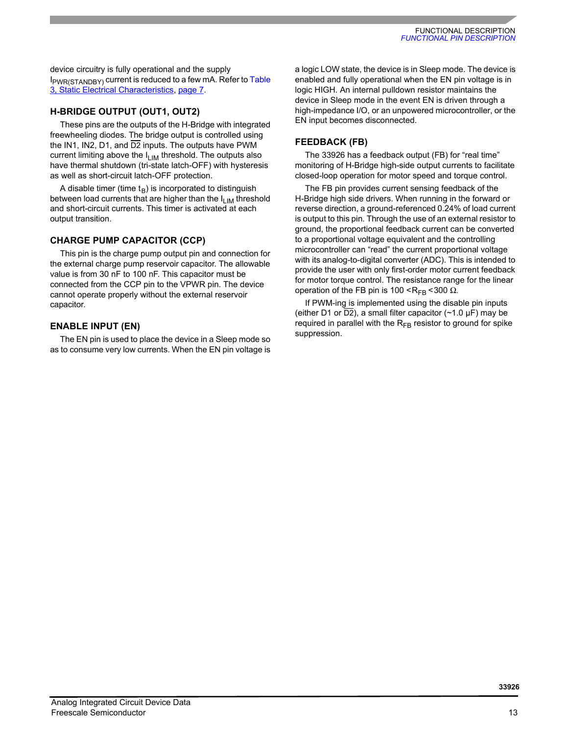device circuitry is fully operational and the supply I<sub>PWR(STANDBY)</sub> current is reduced to a few mA. Refer to Table [3, Static Electrical Characteristics](#page-6-4), [page](#page-6-4) 7.

#### **H-BRIDGE OUTPUT (OUT1, OUT2)**

These pins are the outputs of the H-Bridge with integrated freewheeling diodes. The bridge output is controlled using the IN1, IN2, D1, and  $\overline{D2}$  inputs. The outputs have PWM current limiting above the  $I_{LIM}$  threshold. The outputs also have thermal shutdown (tri-state latch-OFF) with hysteresis as well as short-circuit latch-OFF protection.

A disable timer (time  $t_B$ ) is incorporated to distinguish between load currents that are higher than the  $I_{LIM}$  threshold and short-circuit currents. This timer is activated at each output transition.

### **CHARGE PUMP CAPACITOR (CCP)**

This pin is the charge pump output pin and connection for the external charge pump reservoir capacitor. The allowable value is from 30 nF to 100 nF. This capacitor must be connected from the CCP pin to the VPWR pin. The device cannot operate properly without the external reservoir capacitor.

### **ENABLE INPUT (EN)**

The EN pin is used to place the device in a Sleep mode so as to consume very low currents. When the EN pin voltage is

a logic LOW state, the device is in Sleep mode. The device is enabled and fully operational when the EN pin voltage is in logic HIGH. An internal pulldown resistor maintains the device in Sleep mode in the event EN is driven through a high-impedance I/O, or an unpowered microcontroller, or the EN input becomes disconnected.

### **FEEDBACK (FB)**

The 33926 has a feedback output (FB) for "real time" monitoring of H-Bridge high-side output currents to facilitate closed-loop operation for motor speed and torque control.

The FB pin provides current sensing feedback of the H-Bridge high side drivers. When running in the forward or reverse direction, a ground-referenced 0.24% of load current is output to this pin. Through the use of an external resistor to ground, the proportional feedback current can be converted to a proportional voltage equivalent and the controlling microcontroller can "read" the current proportional voltage with its analog-to-digital converter (ADC). This is intended to provide the user with only first-order motor current feedback for motor torque control. The resistance range for the linear operation of the FB pin is 100 <R<sub>FB</sub> <300 Ω.

If PWM-ing is implemented using the disable pin inputs (either D1 or  $\overline{D2}$ ), a small filter capacitor (~1.0  $\mu$ F) may be required in parallel with the  $R_{FB}$  resistor to ground for spike suppression.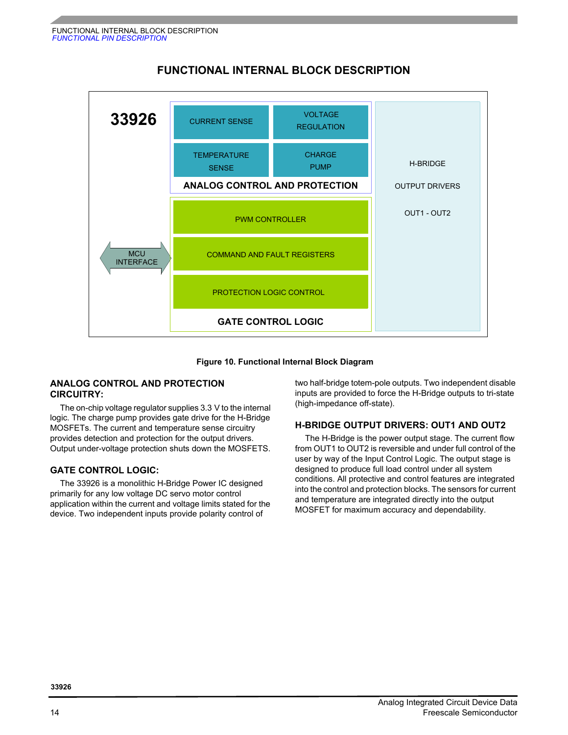

## **FUNCTIONAL INTERNAL BLOCK DESCRIPTION**

#### **Figure 10. Functional Internal Block Diagram**

#### **ANALOG CONTROL AND PROTECTION CIRCUITRY:**

The on-chip voltage regulator supplies 3.3 V to the internal logic. The charge pump provides gate drive for the H-Bridge MOSFETs. The current and temperature sense circuitry provides detection and protection for the output drivers. Output under-voltage protection shuts down the MOSFETS.

#### **GATE CONTROL LOGIC:**

The 33926 is a monolithic H-Bridge Power IC designed primarily for any low voltage DC servo motor control application within the current and voltage limits stated for the device. Two independent inputs provide polarity control of

two half-bridge totem-pole outputs. Two independent disable inputs are provided to force the H-Bridge outputs to tri-state (high-impedance off-state).

#### **H-BRIDGE OUTPUT DRIVERS: OUT1 AND OUT2**

The H-Bridge is the power output stage. The current flow from OUT1 to OUT2 is reversible and under full control of the user by way of the Input Control Logic. The output stage is designed to produce full load control under all system conditions. All protective and control features are integrated into the control and protection blocks. The sensors for current and temperature are integrated directly into the output MOSFET for maximum accuracy and dependability.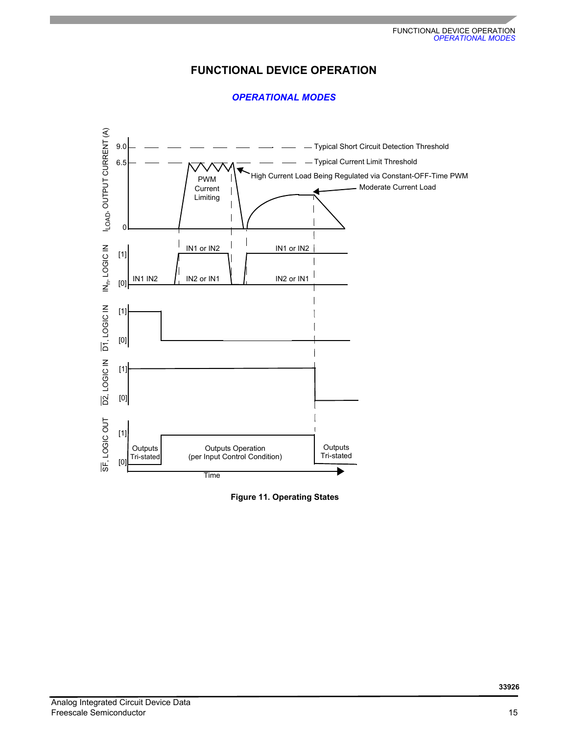## **FUNCTIONAL DEVICE OPERATION**

## *OPERATIONAL MODES*



<span id="page-14-0"></span> **Figure 11. Operating States**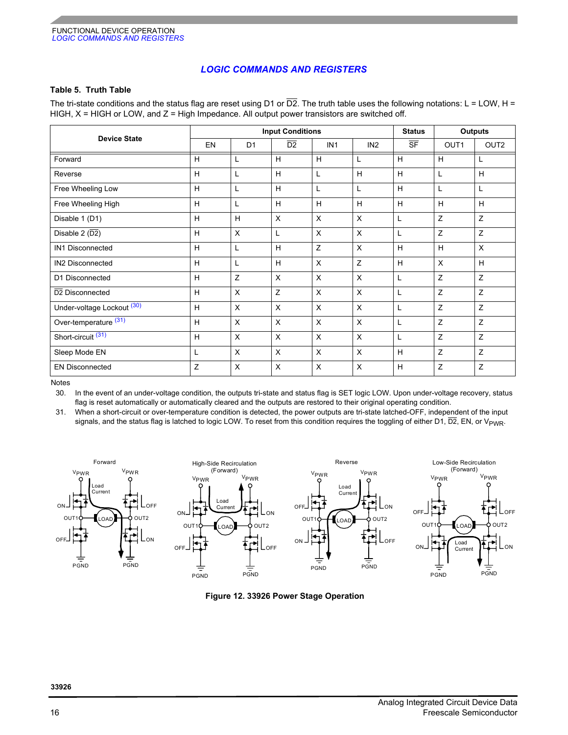#### *LOGIC COMMANDS AND REGISTERS*

#### <span id="page-15-0"></span>**Table 5. Truth Table**

The tri-state conditions and the status flag are reset using D1 or  $\overline{D2}$ . The truth table uses the following notations: L = LOW, H = HIGH,  $X = H$ IGH or LOW, and  $Z = H$ igh Impedance. All output power transistors are switched off.

| <b>Device State</b>              | <b>Input Conditions</b> |                |                 |                 |                 | <b>Outputs</b><br><b>Status</b> |      |                  |
|----------------------------------|-------------------------|----------------|-----------------|-----------------|-----------------|---------------------------------|------|------------------|
|                                  | EN                      | D <sub>1</sub> | $\overline{D2}$ | IN <sub>1</sub> | IN <sub>2</sub> | $\overline{\text{SF}}$          | OUT1 | OUT <sub>2</sub> |
| Forward                          | Н                       | L              | Н               | H               | L               | H                               | H    | L                |
| Reverse                          | H                       | L              | H               | L               | H               | H                               | L    | H                |
| Free Wheeling Low                | H                       | L              | H               | L               | L               | H                               | L    |                  |
| Free Wheeling High               | H                       | L              | н               | H               | H               | H                               | H    | H                |
| Disable 1 (D1)                   | H                       | H              | $\mathsf{x}$    | X               | $\pmb{\times}$  | Г                               | Z    | Z                |
| Disable 2 $(\overline{D2})$      | H                       | X              | L               | X               | $\times$        | L                               | Z    | Z                |
| IN1 Disconnected                 | H                       | L              | н               | Ζ               | $\times$        | H                               | H    | X                |
| IN2 Disconnected                 | H                       | L              | H               | X               | Z               | H                               | X    | H                |
| D1 Disconnected                  | H                       | Z              | $\times$        | X               | $\pmb{\times}$  | L                               | Z    | Z                |
| D <sub>2</sub> Disconnected      | H                       | X              | Z               | X               | $\mathsf{X}$    | L                               | Z    | Z                |
| Under-voltage Lockout (30)       | H                       | X              | $\times$        | X               | $\times$        | L                               | Z    | Z                |
| Over-temperature <sup>(31)</sup> | H                       | X              | $\times$        | X               | X               | L                               | Z    | Z                |
| Short-circuit <sup>(31)</sup>    | H                       | X              | $\times$        | X               | $\times$        | L                               | Z    | Z                |
| Sleep Mode EN                    | L                       | X              | $\times$        | X               | $\pmb{\times}$  | H                               | Z    | Z                |
| <b>EN Disconnected</b>           | Z                       | X              | X               | X               | X               | H                               | Ζ    | Z                |

Notes

<span id="page-15-1"></span>30. In the event of an under-voltage condition, the outputs tri-state and status flag is SET logic LOW. Upon under-voltage recovery, status flag is reset automatically or automatically cleared and the outputs are restored to their original operating condition.

<span id="page-15-2"></span>31. When a short-circuit or over-temperature condition is detected, the power outputs are tri-state latched-OFF, independent of the input signals, and the status flag is latched to logic LOW. To reset from this condition requires the toggling of either D1,  $\overline{D2}$ , EN, or V<sub>PWR</sub>.









 **Figure 12. 33926 Power Stage Operation**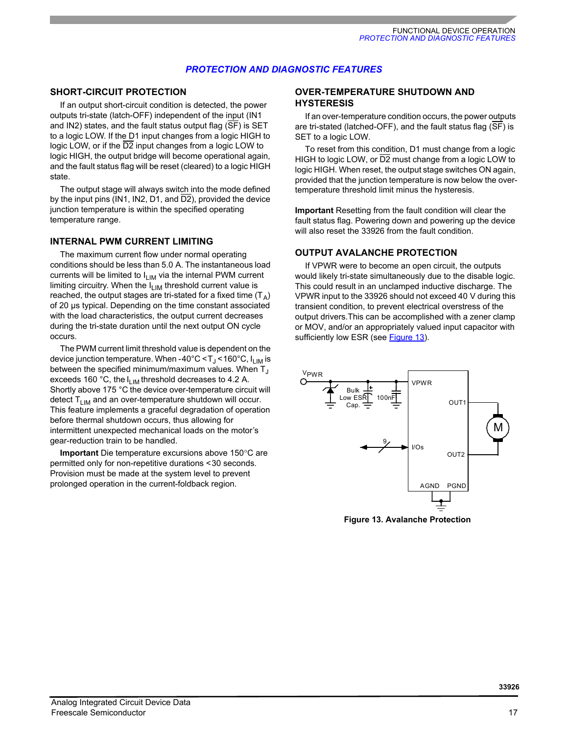#### *PROTECTION AND DIAGNOSTIC FEATURES*

#### **SHORT-CIRCUIT PROTECTION**

If an output short-circuit condition is detected, the power outputs tri-state (latch-OFF) independent of the input (IN1 and IN2) states, and the fault status output flag (SF) is SET to a logic LOW. If the D1 input changes from a logic HIGH to logic LOW, or if the D2 input changes from a logic LOW to logic HIGH, the output bridge will become operational again, and the fault status flag will be reset (cleared) to a logic HIGH state.

The output stage will always switch into the mode defined by the input pins (IN1, IN2, D1, and  $\overline{D2}$ ), provided the device junction temperature is within the specified operating temperature range.

#### **INTERNAL PWM CURRENT LIMITING**

The maximum current flow under normal operating conditions should be less than 5.0 A. The instantaneous load currents will be limited to  $I_{LIM}$  via the internal PWM current limiting circuitry. When the  $I_{LIM}$  threshold current value is reached, the output stages are tri-stated for a fixed time  $(T_A)$ of 20 µs typical. Depending on the time constant associated with the load characteristics, the output current decreases during the tri-state duration until the next output ON cycle occurs.

The PWM current limit threshold value is dependent on the device junction temperature. When -40°C <  $T_J$  < 160°C,  $I_{IJM}$  is between the specified minimum/maximum values. When  $T_{\text{J}}$ exceeds 160 °C, the  $I_{\text{LIM}}$  threshold decreases to 4.2 A. Shortly above 175 °C the device over-temperature circuit will detect  $T_{LIM}$  and an over-temperature shutdown will occur. This feature implements a graceful degradation of operation before thermal shutdown occurs, thus allowing for intermittent unexpected mechanical loads on the motor's gear-reduction train to be handled.

**Important** Die temperature excursions above 150°C are permitted only for non-repetitive durations <30 seconds. Provision must be made at the system level to prevent prolonged operation in the current-foldback region.

#### **OVER-TEMPERATURE SHUTDOWN AND HYSTERESIS**

If an over-temperature condition occurs, the power outputs are tri-stated (latched-OFF), and the fault status flag ( $\overline{\text{SF}}$ ) is SET to a logic LOW.

To reset from this condition, D1 must change from a logic HIGH to logic LOW, or  $\overline{D2}$  must change from a logic LOW to logic HIGH. When reset, the output stage switches ON again, provided that the junction temperature is now below the overtemperature threshold limit minus the hysteresis.

**Important** Resetting from the fault condition will clear the fault status flag. Powering down and powering up the device will also reset the 33926 from the fault condition.

#### **OUTPUT AVALANCHE PROTECTION**

If VPWR were to become an open circuit, the outputs would likely tri-state simultaneously due to the disable logic. This could result in an unclamped inductive discharge. The VPWR input to the 33926 should not exceed 40 V during this transient condition, to prevent electrical overstress of the output drivers.This can be accomplished with a zener clamp or MOV, and/or an appropriately valued input capacitor with sufficiently low ESR (see [Figure](#page-16-0) 13).



<span id="page-16-0"></span> **Figure 13. Avalanche Protection**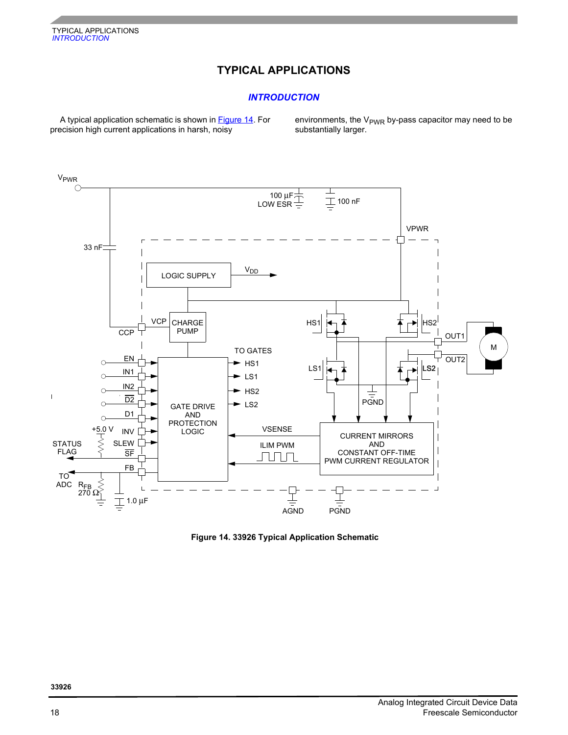# **TYPICAL APPLICATIONS**

### *INTRODUCTION*

A typical application schematic is shown in [Figure](#page-17-0) 14. For precision high current applications in harsh, noisy

environments, the  $V<sub>PWR</sub>$  by-pass capacitor may need to be substantially larger.



<span id="page-17-0"></span> **Figure 14. 33926 Typical Application Schematic**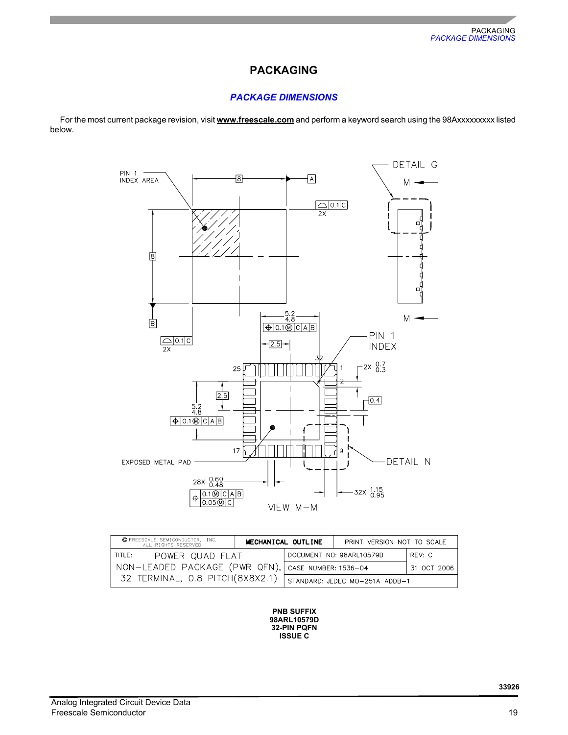## **PACKAGING**

## *PACKAGE DIMENSIONS*

For the most current package revision, visit **[www.freescale.com](http://www.freescale.com)** and perform a keyword search using the 98Axxxxxxxxx listed below.



| C FREESCALE SEMICONDUCTOR, INC.<br>MECHANICAL OUTLINE<br>ALL RIGHTS RESERVED. |  |  | PRINT VERSION NOT TO SCALE     |             |
|-------------------------------------------------------------------------------|--|--|--------------------------------|-------------|
| 'TITLE:<br>power quad flat                                                    |  |  | DOCUMENT NO: 98ARL10579D       | RFV: C      |
| NON-LEADED PACKAGE (PWR QFN), CASE NUMBER: 1536-04                            |  |  |                                | 31 OCT 2006 |
| 32 TERMINAL, 0.8 PITCH(8X8X2.1)                                               |  |  | STANDARD: JEDEC MO-251A ADDB-1 |             |

**PNB SUFFIX 32-PIN PQFN 98ARL10579D ISSUE C**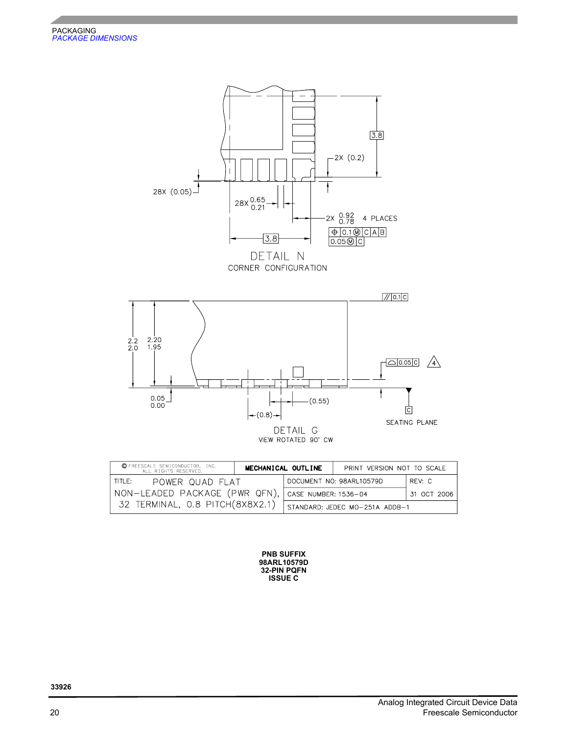

| © FREESCALE SEMICONDUCTOR, INC.<br>ALL RIGHTS RESERVED. |  | MECHANICAL OUTLINE             | PRINT VERSION NOT TO SCALE |             |
|---------------------------------------------------------|--|--------------------------------|----------------------------|-------------|
| TITLE:<br>POWER QUAD FLAT                               |  |                                | DOCUMENT NO: 98ARL10579D   | REV: C      |
| NON-LEADED PACKAGE (PWR QFN), CASE NUMBER: 1536-04      |  |                                |                            | 31 OCT 2006 |
| 32 TERMINAL, 0.8 PITCH (8X8X2.1)                        |  | STANDARD: JEDEC MO-251A ADDB-1 |                            |             |

**PNB SUFFIX 32-PIN PQFN 98ARL10579D ISSUE C**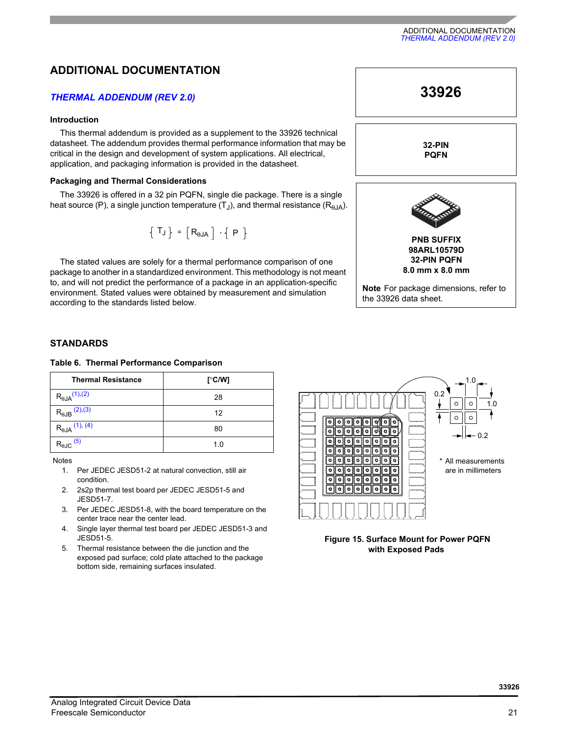# **ADDITIONAL DOCUMENTATION**

### *THERMAL ADDENDUM (REV 2.0)*

#### **Introduction**

This thermal addendum is provided as a supplement to the 33926 technical datasheet. The addendum provides thermal performance information that may be critical in the design and development of system applications. All electrical, application, and packaging information is provided in the datasheet.

#### **Packaging and Thermal Considerations**

The 33926 is offered in a 32 pin PQFN, single die package. There is a single heat source (P), a single junction temperature  $(T_{\rm J})$ , and thermal resistance  $(R_{\rm B,IA})$ .

$$
\left\{ \begin{array}{c} T_J \end{array} \right\} \; = \; \left[ \begin{array}{c} R_{\theta J A} \end{array} \right] \; \cdot \left\{ \begin{array}{c} P \end{array} \right\}
$$

The stated values are solely for a thermal performance comparison of one package to another in a standardized environment. This methodology is not meant to, and will not predict the performance of a package in an application-specific environment. Stated values were obtained by measurement and simulation according to the standards listed below.



#### **STANDARDS**

#### **Table 6. Thermal Performance Comparison**

| <b>Thermal Resistance</b>       | [°C/W] |
|---------------------------------|--------|
| $R_{\theta JA}^{(1),(2)}$       | 28     |
| $R_{\theta$ JB $(2), (3)$       | 12     |
| $R_{\theta$ JA $(1), (4)$       | 80     |
| $R_{\theta \text{JC}}$ $^{(5)}$ | 1.0    |

<span id="page-20-0"></span>Notes

- 1. Per JEDEC JESD51-2 at natural convection, still air condition.
- <span id="page-20-1"></span>2. 2s2p thermal test board per JEDEC JESD51-5 and JESD51-7.
- <span id="page-20-2"></span>3. Per JEDEC JESD51-8, with the board temperature on the center trace near the center lead.
- <span id="page-20-3"></span>4. Single layer thermal test board per JEDEC JESD51-3 and JESD51-5.
- <span id="page-20-4"></span>5. Thermal resistance between the die junction and the exposed pad surface; cold plate attached to the package bottom side, remaining surfaces insulated.



 **Figure 15. Surface Mount for Power PQFN with Exposed Pads**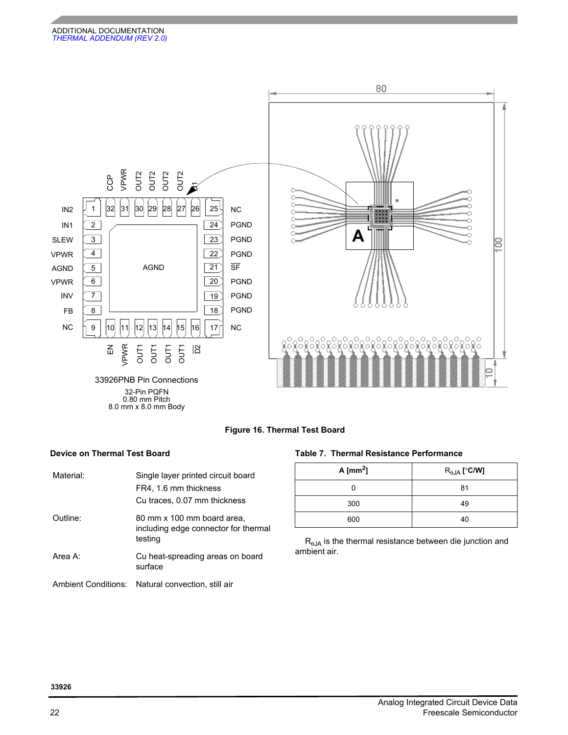

0.80 mm Pitch 8.0 mm x 8.0 mm Body

#### **Figure 16. Thermal Test Board**

| Material: | Single layer printed circuit board<br>FR4, 1.6 mm thickness<br>Cu traces, 0.07 mm thickness |
|-----------|---------------------------------------------------------------------------------------------|
| Outline:  | 80 mm x 100 mm board area,<br>including edge connector for thermal<br>testing               |
| Area A:   | Cu heat-spreading areas on board<br>surface                                                 |
|           | Ambient Conditions: Natural convection, still air                                           |

#### **Device on Thermal Test Board Table 7. Thermal Resistance Performance**

| A [ $mm2$ ] | $R_{\theta JA}$ [°C/W] |
|-------------|------------------------|
|             | 81                     |
| 300         | 49                     |
| 600         | 40                     |

 $R_{\theta JA}$  is the thermal resistance between die junction and ambient air.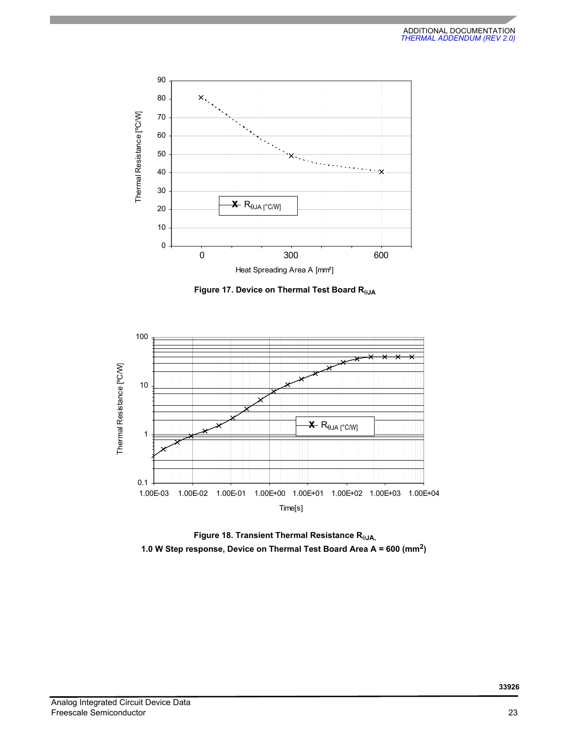

 **Figure 17. Device on Thermal Test Board R**θ**JA**



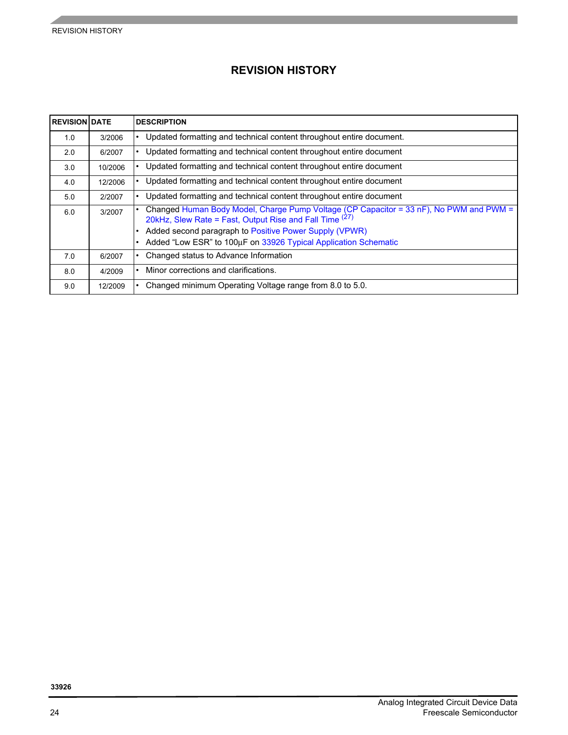# **REVISION HISTORY**

| <b>REVISION DATE</b> |         | <b>DESCRIPTION</b>                                                                                                                                                                                                                                                             |
|----------------------|---------|--------------------------------------------------------------------------------------------------------------------------------------------------------------------------------------------------------------------------------------------------------------------------------|
| 1.0                  | 3/2006  | Updated formatting and technical content throughout entire document.                                                                                                                                                                                                           |
| 2.0                  | 6/2007  | Updated formatting and technical content throughout entire document                                                                                                                                                                                                            |
| 3.0                  | 10/2006 | Updated formatting and technical content throughout entire document                                                                                                                                                                                                            |
| 4.0                  | 12/2006 | Updated formatting and technical content throughout entire document                                                                                                                                                                                                            |
| 5.0                  | 2/2007  | Updated formatting and technical content throughout entire document                                                                                                                                                                                                            |
| 6.0                  | 3/2007  | Changed Human Body Model, Charge Pump Voltage (CP Capacitor = 33 nF), No PWM and PWM =<br>20kHz, Slew Rate = Fast, Output Rise and Fall Time (27)<br>Added second paragraph to Positive Power Supply (VPWR)<br>Added "Low ESR" to 100μF on 33926 Typical Application Schematic |
| 7.0                  | 6/2007  | Changed status to Advance Information                                                                                                                                                                                                                                          |
| 8.0                  | 4/2009  | Minor corrections and clarifications.                                                                                                                                                                                                                                          |
| 9.0                  | 12/2009 | Changed minimum Operating Voltage range from 8.0 to 5.0.                                                                                                                                                                                                                       |